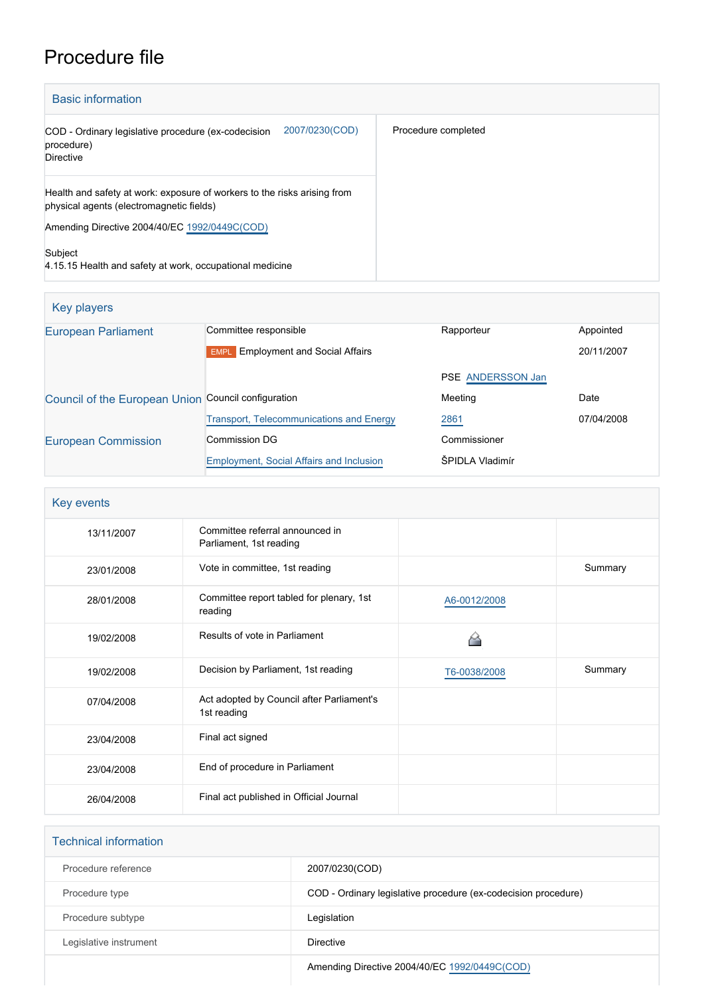# Procedure file

| <b>Basic information</b>                                                                                             |                     |  |
|----------------------------------------------------------------------------------------------------------------------|---------------------|--|
| 2007/0230(COD)<br>COD - Ordinary legislative procedure (ex-codecision<br>procedure)<br><b>Directive</b>              | Procedure completed |  |
| Health and safety at work: exposure of workers to the risks arising from<br>physical agents (electromagnetic fields) |                     |  |
| Amending Directive 2004/40/EC 1992/0449C(COD)                                                                        |                     |  |
| Subject<br>4.15.15 Health and safety at work, occupational medicine                                                  |                     |  |

| Key players                                         |                                                 |                   |            |
|-----------------------------------------------------|-------------------------------------------------|-------------------|------------|
| <b>European Parliament</b>                          | Committee responsible                           | Rapporteur        | Appointed  |
|                                                     | <b>EMPL</b> Employment and Social Affairs       |                   | 20/11/2007 |
|                                                     |                                                 | PSE ANDERSSON Jan |            |
| Council of the European Union Council configuration |                                                 | Meeting           | Date       |
|                                                     | <b>Transport, Telecommunications and Energy</b> | 2861              | 07/04/2008 |
| <b>European Commission</b>                          | Commission DG                                   | Commissioner      |            |
|                                                     | <b>Employment, Social Affairs and Inclusion</b> | ŠPIDLA Vladimír   |            |

| Key events |                                                            |              |         |
|------------|------------------------------------------------------------|--------------|---------|
| 13/11/2007 | Committee referral announced in<br>Parliament, 1st reading |              |         |
| 23/01/2008 | Vote in committee, 1st reading                             |              | Summary |
| 28/01/2008 | Committee report tabled for plenary, 1st<br>reading        | A6-0012/2008 |         |
| 19/02/2008 | Results of vote in Parliament                              |              |         |
| 19/02/2008 | Decision by Parliament, 1st reading                        | T6-0038/2008 | Summary |
| 07/04/2008 | Act adopted by Council after Parliament's<br>1st reading   |              |         |
| 23/04/2008 | Final act signed                                           |              |         |
| 23/04/2008 | End of procedure in Parliament                             |              |         |
| 26/04/2008 | Final act published in Official Journal                    |              |         |

| <b>Technical information</b> |                                                                |
|------------------------------|----------------------------------------------------------------|
| Procedure reference          | 2007/0230(COD)                                                 |
| Procedure type               | COD - Ordinary legislative procedure (ex-codecision procedure) |
| Procedure subtype            | Legislation                                                    |
| Legislative instrument       | <b>Directive</b>                                               |
|                              | Amending Directive 2004/40/EC 1992/0449C(COD)                  |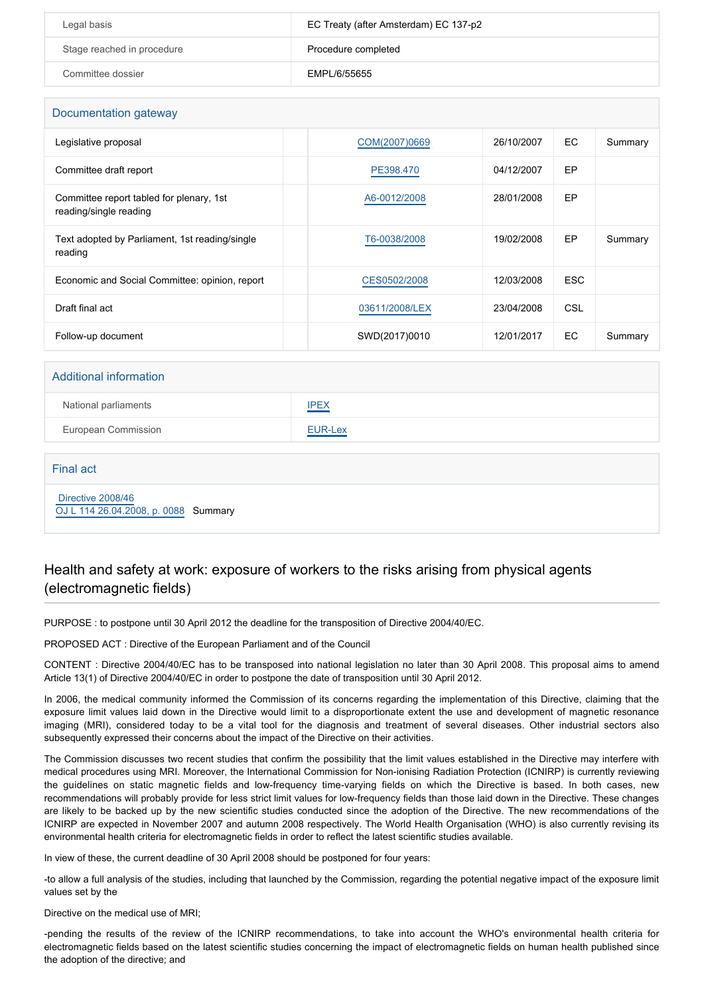| Legal basis                | EC Treaty (after Amsterdam) EC 137-p2 |
|----------------------------|---------------------------------------|
| Stage reached in procedure | Procedure completed                   |
| Committee dossier          | EMPL/6/55655                          |

| Documentation gateway                                              |                |            |            |         |
|--------------------------------------------------------------------|----------------|------------|------------|---------|
| Legislative proposal                                               | COM(2007)0669  | 26/10/2007 | EC         | Summary |
| Committee draft report                                             | PE398,470      | 04/12/2007 | EP         |         |
| Committee report tabled for plenary, 1st<br>reading/single reading | A6-0012/2008   | 28/01/2008 | EP         |         |
| Text adopted by Parliament, 1st reading/single<br>reading          | T6-0038/2008   | 19/02/2008 | EP         | Summary |
| Economic and Social Committee: opinion, report                     | CES0502/2008   | 12/03/2008 | <b>ESC</b> |         |
| Draft final act                                                    | 03611/2008/LEX | 23/04/2008 | <b>CSL</b> |         |
| Follow-up document                                                 | SWD(2017)0010  | 12/01/2017 | EC         | Summary |

### Additional information

| National parliaments | <b>IPEX</b>                                             |
|----------------------|---------------------------------------------------------|
| European Commission  | EUR-Lex<br>the control of the control of the control of |

#### Final act

 [Directive 2008/46](https://eur-lex.europa.eu/smartapi/cgi/sga_doc?smartapi!celexplus!prod!CELEXnumdoc&lg=EN&numdoc=32008L0046) [OJ L 114 26.04.2008, p. 0088](https://eur-lex.europa.eu/legal-content/EN/TXT/?uri=OJ:L:2008:114:TOC) Summary

### Health and safety at work: exposure of workers to the risks arising from physical agents (electromagnetic fields)

PURPOSE : to postpone until 30 April 2012 the deadline for the transposition of Directive 2004/40/EC.

PROPOSED ACT : Directive of the European Parliament and of the Council

CONTENT : Directive 2004/40/EC has to be transposed into national legislation no later than 30 April 2008. This proposal aims to amend Article 13(1) of Directive 2004/40/EC in order to postpone the date of transposition until 30 April 2012.

In 2006, the medical community informed the Commission of its concerns regarding the implementation of this Directive, claiming that the exposure limit values laid down in the Directive would limit to a disproportionate extent the use and development of magnetic resonance imaging (MRI), considered today to be a vital tool for the diagnosis and treatment of several diseases. Other industrial sectors also subsequently expressed their concerns about the impact of the Directive on their activities.

The Commission discusses two recent studies that confirm the possibility that the limit values established in the Directive may interfere with medical procedures using MRI. Moreover, the International Commission for Non-ionising Radiation Protection (ICNIRP) is currently reviewing the guidelines on static magnetic fields and low-frequency time-varying fields on which the Directive is based. In both cases, new recommendations will probably provide for less strict limit values for low-frequency fields than those laid down in the Directive. These changes are likely to be backed up by the new scientific studies conducted since the adoption of the Directive. The new recommendations of the ICNIRP are expected in November 2007 and autumn 2008 respectively. The World Health Organisation (WHO) is also currently revising its environmental health criteria for electromagnetic fields in order to reflect the latest scientific studies available.

In view of these, the current deadline of 30 April 2008 should be postponed for four years:

-to allow a full analysis of the studies, including that launched by the Commission, regarding the potential negative impact of the exposure limit values set by the

Directive on the medical use of MRI;

-pending the results of the review of the ICNIRP recommendations, to take into account the WHO's environmental health criteria for electromagnetic fields based on the latest scientific studies concerning the impact of electromagnetic fields on human health published since the adoption of the directive; and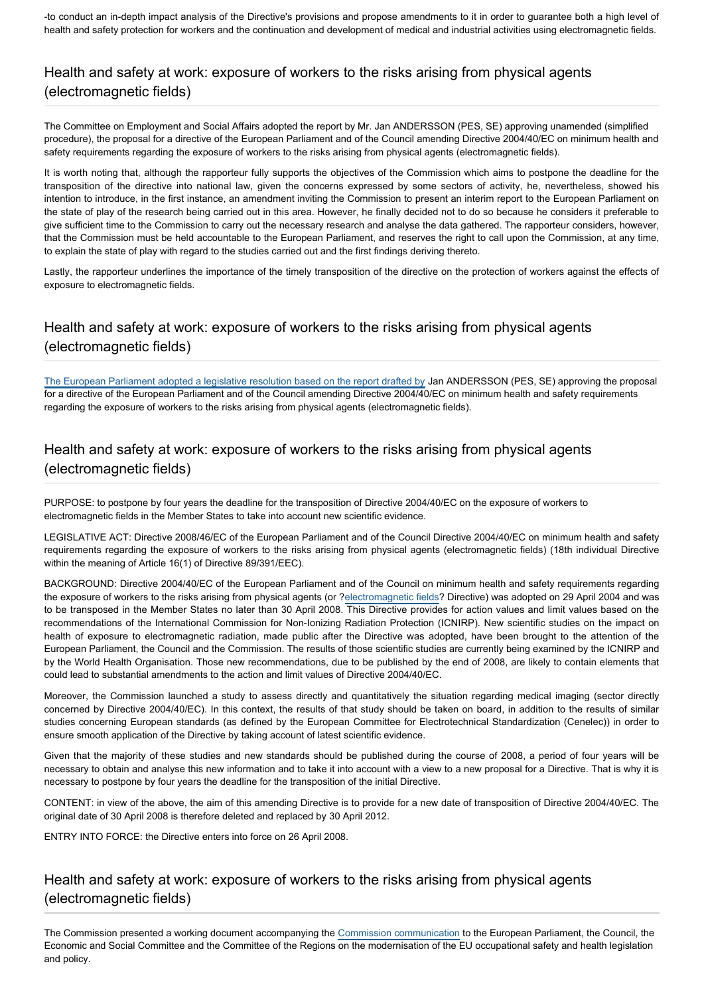-to conduct an in-depth impact analysis of the Directive's provisions and propose amendments to it in order to guarantee both a high level of health and safety protection for workers and the continuation and development of medical and industrial activities using electromagnetic fields.

# Health and safety at work: exposure of workers to the risks arising from physical agents (electromagnetic fields)

The Committee on Employment and Social Affairs adopted the report by Mr. Jan ANDERSSON (PES, SE) approving unamended (simplified procedure), the proposal for a directive of the European Parliament and of the Council amending Directive 2004/40/EC on minimum health and safety requirements regarding the exposure of workers to the risks arising from physical agents (electromagnetic fields).

It is worth noting that, although the rapporteur fully supports the objectives of the Commission which aims to postpone the deadline for the transposition of the directive into national law, given the concerns expressed by some sectors of activity, he, nevertheless, showed his intention to introduce, in the first instance, an amendment inviting the Commission to present an interim report to the European Parliament on the state of play of the research being carried out in this area. However, he finally decided not to do so because he considers it preferable to give sufficient time to the Commission to carry out the necessary research and analyse the data gathered. The rapporteur considers, however, that the Commission must be held accountable to the European Parliament, and reserves the right to call upon the Commission, at any time, to explain the state of play with regard to the studies carried out and the first findings deriving thereto.

Lastly, the rapporteur underlines the importance of the timely transposition of the directive on the protection of workers against the effects of exposure to electromagnetic fields.

# Health and safety at work: exposure of workers to the risks arising from physical agents (electromagnetic fields)

The European Parliament adopted a legislative resolution based on the report drafted by Jan ANDERSSON (PES, SE) approving the proposal for a directive of the European Parliament and of the Council amending Directive 2004/40/EC on minimum health and safety requirements regarding the exposure of workers to the risks arising from physical agents (electromagnetic fields).

## Health and safety at work: exposure of workers to the risks arising from physical agents (electromagnetic fields)

PURPOSE: to postpone by four years the deadline for the transposition of Directive 2004/40/EC on the exposure of workers to electromagnetic fields in the Member States to take into account new scientific evidence.

LEGISLATIVE ACT: Directive 2008/46/EC of the European Parliament and of the Council Directive 2004/40/EC on minimum health and safety requirements regarding the exposure of workers to the risks arising from physical agents (electromagnetic fields) (18th individual Directive within the meaning of Article 16(1) of Directive 89/391/EEC).

BACKGROUND: Directive 2004/40/EC of the European Parliament and of the Council on minimum health and safety requirements regarding the exposure of workers to the risks arising from physical agents (or ?[electromagnetic fields](http://www.europarl.europa.eu/oeil/FindByProcnum.do?lang=en&procnum=COD/1992/0449C)? Directive) was adopted on 29 April 2004 and was to be transposed in the Member States no later than 30 April 2008. This Directive provides for action values and limit values based on the recommendations of the International Commission for Non-Ionizing Radiation Protection (ICNIRP). New scientific studies on the impact on health of exposure to electromagnetic radiation, made public after the Directive was adopted, have been brought to the attention of the European Parliament, the Council and the Commission. The results of those scientific studies are currently being examined by the ICNIRP and by the World Health Organisation. Those new recommendations, due to be published by the end of 2008, are likely to contain elements that could lead to substantial amendments to the action and limit values of Directive 2004/40/EC.

Moreover, the Commission launched a study to assess directly and quantitatively the situation regarding medical imaging (sector directly concerned by Directive 2004/40/EC). In this context, the results of that study should be taken on board, in addition to the results of similar studies concerning European standards (as defined by the European Committee for Electrotechnical Standardization (Cenelec)) in order to ensure smooth application of the Directive by taking account of latest scientific evidence.

Given that the majority of these studies and new standards should be published during the course of 2008, a period of four years will be necessary to obtain and analyse this new information and to take it into account with a view to a new proposal for a Directive. That is why it is necessary to postpone by four years the deadline for the transposition of the initial Directive.

CONTENT: in view of the above, the aim of this amending Directive is to provide for a new date of transposition of Directive 2004/40/EC. The original date of 30 April 2008 is therefore deleted and replaced by 30 April 2012.

ENTRY INTO FORCE: the Directive enters into force on 26 April 2008.

# Health and safety at work: exposure of workers to the risks arising from physical agents (electromagnetic fields)

The Commission presented a working document accompanying the [Commission communication](http://www.europarl.europa.eu/RegData/docs_autres_institutions/commission_europeenne/com/2017/0012/COM_COM(2017)0012_EN.pdf) to the European Parliament, the Council, the Economic and Social Committee and the Committee of the Regions on the modernisation of the EU occupational safety and health legislation and policy.